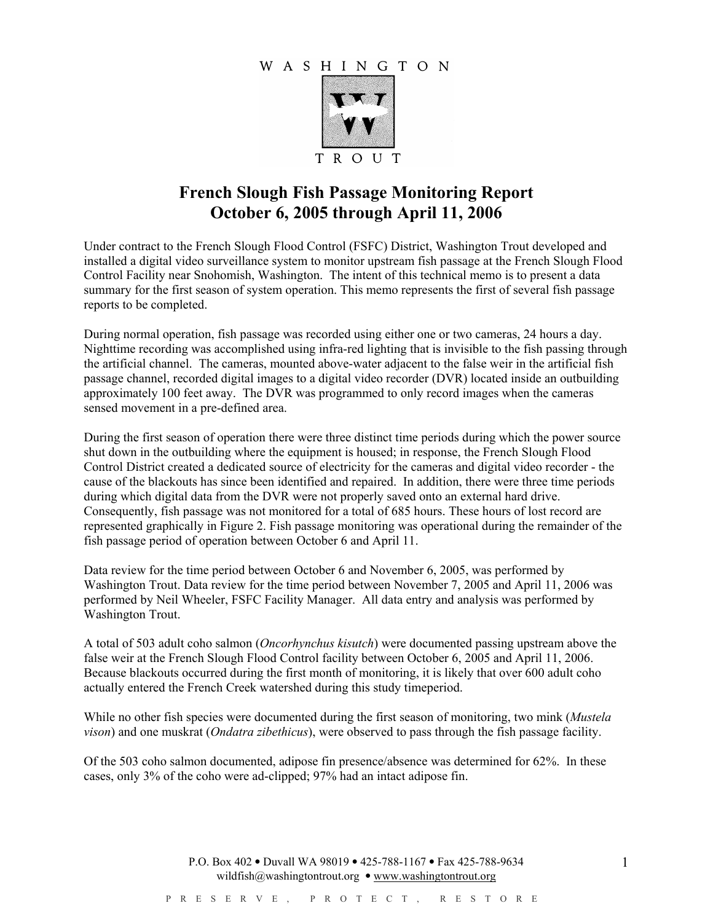## WASHINGTON



## French Slough Fish Passage Monitoring Report October 6, 2005 through April 11, 2006

Under contract to the French Slough Flood Control (FSFC) District, Washington Trout developed and installed a digital video surveillance system to monitor upstream fish passage at the French Slough Flood Control Facility near Snohomish, Washington. The intent of this technical memo is to present a data summary for the first season of system operation. This memo represents the first of several fish passage reports to be completed.

During normal operation, fish passage was recorded using either one or two cameras, 24 hours a day. Nighttime recording was accomplished using infra-red lighting that is invisible to the fish passing through the artificial channel. The cameras, mounted above-water adjacent to the false weir in the artificial fish passage channel, recorded digital images to a digital video recorder (DVR) located inside an outbuilding approximately 100 feet away. The DVR was programmed to only record images when the cameras sensed movement in a pre-defined area.

During the first season of operation there were three distinct time periods during which the power source shut down in the outbuilding where the equipment is housed; in response, the French Slough Flood Control District created a dedicated source of electricity for the cameras and digital video recorder - the cause of the blackouts has since been identified and repaired. In addition, there were three time periods during which digital data from the DVR were not properly saved onto an external hard drive. Consequently, fish passage was not monitored for a total of 685 hours. These hours of lost record are represented graphically in Figure 2. Fish passage monitoring was operational during the remainder of the fish passage period of operation between October 6 and April 11.

Data review for the time period between October 6 and November 6, 2005, was performed by Washington Trout. Data review for the time period between November 7, 2005 and April 11, 2006 was performed by Neil Wheeler, FSFC Facility Manager. All data entry and analysis was performed by Washington Trout.

A total of 503 adult coho salmon (Oncorhynchus kisutch) were documented passing upstream above the false weir at the French Slough Flood Control facility between October 6, 2005 and April 11, 2006. Because blackouts occurred during the first month of monitoring, it is likely that over 600 adult coho actually entered the French Creek watershed during this study timeperiod.

While no other fish species were documented during the first season of monitoring, two mink (Mustela vison) and one muskrat (Ondatra zibethicus), were observed to pass through the fish passage facility.

Of the 503 coho salmon documented, adipose fin presence/absence was determined for 62%. In these cases, only 3% of the coho were ad-clipped; 97% had an intact adipose fin.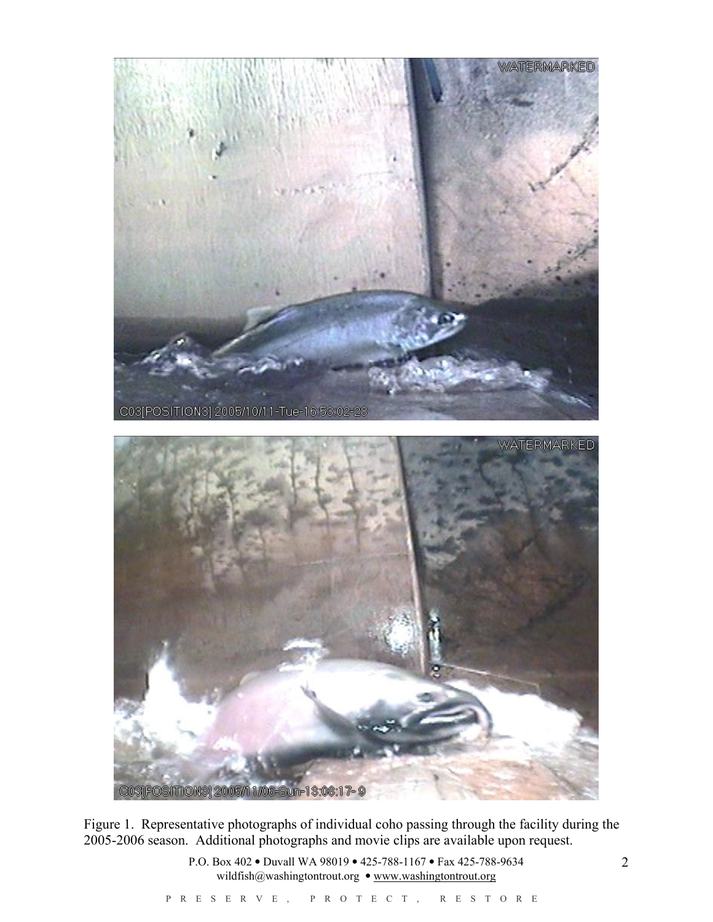

Figure 1. Representative photographs of individual coho passing through the facility during the 2005-2006 season. Additional photographs and movie clips are available upon request.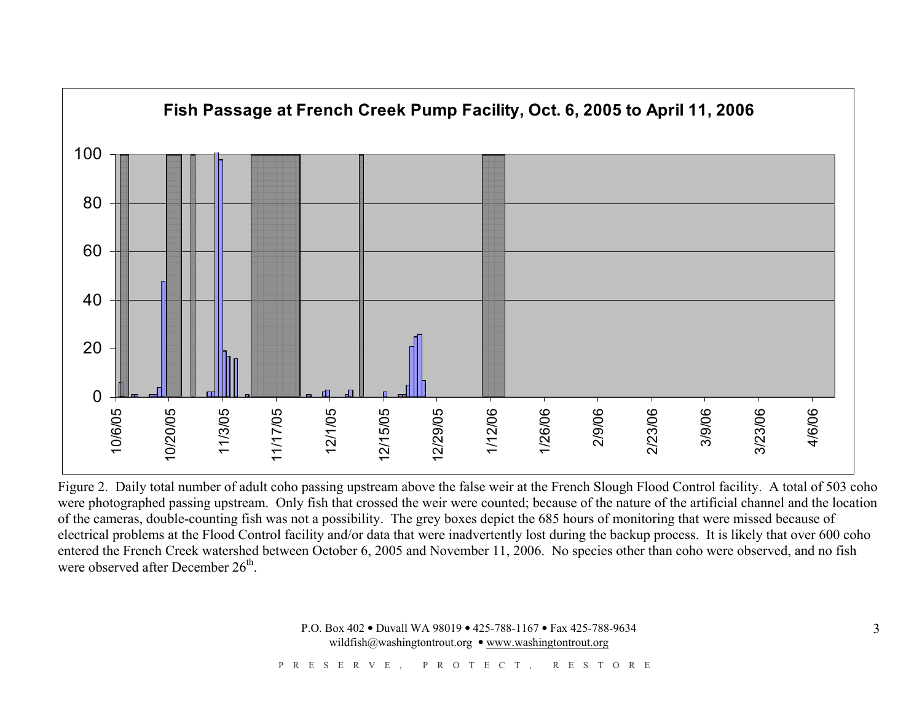

Figure 2. Daily total number of adult coho passing upstream above the false weir at the French Slough Flood Control facility. A total of 503 coho were photographed passing upstream. Only fish that crossed the weir were counted; because of the nature of the artificial channel and the location of the cameras, double-counting fish was not a possibility. The grey boxes depict the 685 hours of monitoring that were missed because of electrical problems at the Flood Control facility and/or data that were inadvertently lost during the backup process. It is likely that over 600 coho entered the French Creek watershed between October 6, 2005 and November 11, 2006. No species other than coho were observed, and no fish were observed after December  $26<sup>th</sup>$ .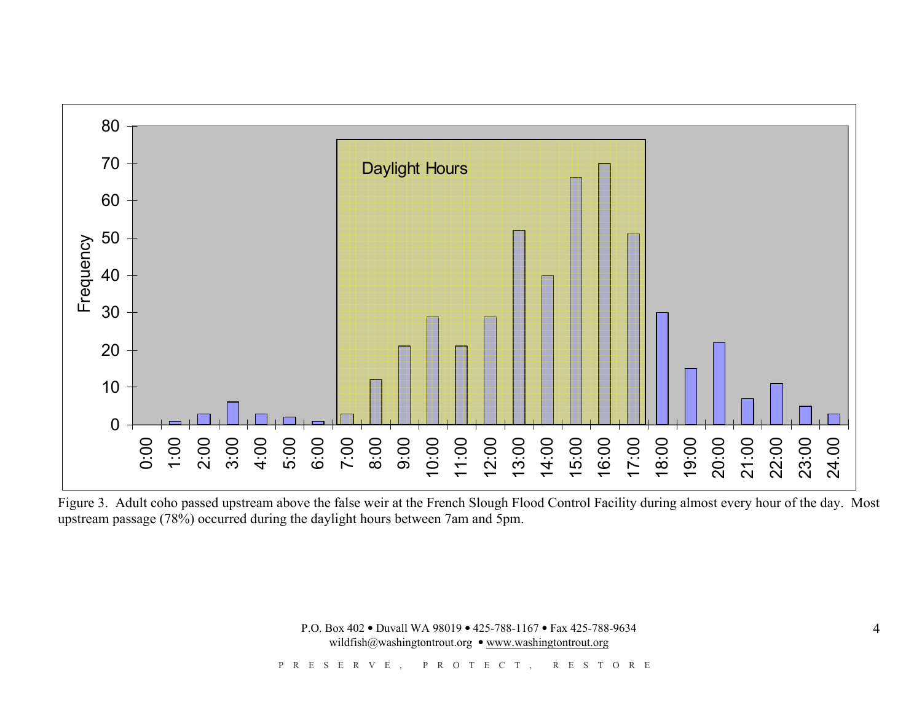

Figure 3. Adult coho passed upstream above the false weir at the French Slough Flood Control Facility during almost every hour of the day. Most upstream passage (78%) occurred during the daylight hours between 7am and 5pm.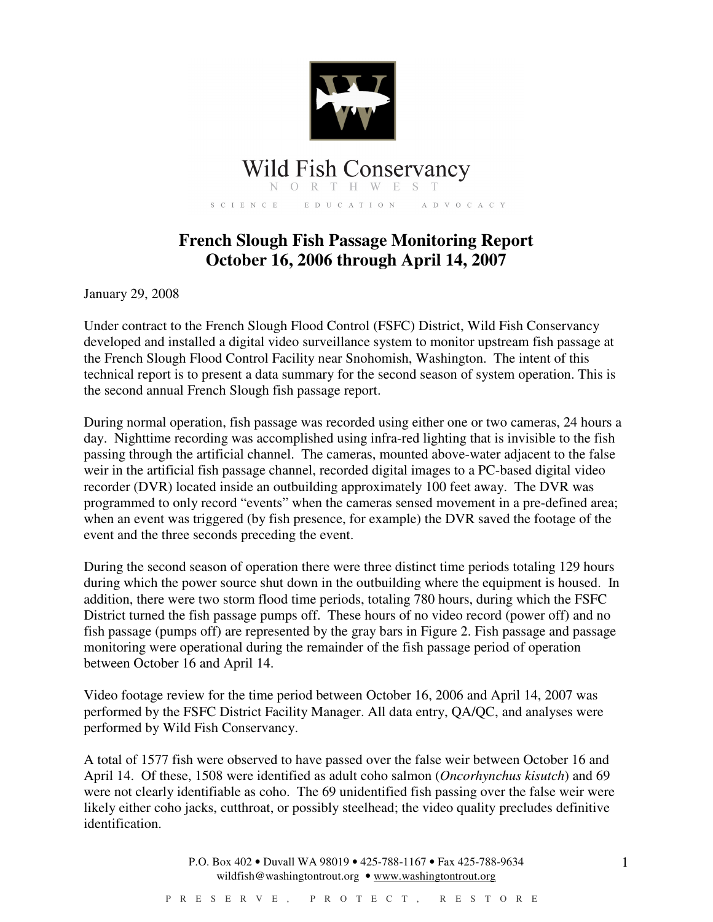

## **Wild Fish Conservancy**

SCIENCE EDUCATION ADVOCACY

## **French Slough Fish Passage Monitoring Report October 16, 2006 through April 14, 2007**

January 29, 2008

Under contract to the French Slough Flood Control (FSFC) District, Wild Fish Conservancy developed and installed a digital video surveillance system to monitor upstream fish passage at the French Slough Flood Control Facility near Snohomish, Washington. The intent of this technical report is to present a data summary for the second season of system operation. This is the second annual French Slough fish passage report.

During normal operation, fish passage was recorded using either one or two cameras, 24 hours a day. Nighttime recording was accomplished using infra-red lighting that is invisible to the fish passing through the artificial channel. The cameras, mounted above-water adjacent to the false weir in the artificial fish passage channel, recorded digital images to a PC-based digital video recorder (DVR) located inside an outbuilding approximately 100 feet away. The DVR was programmed to only record "events" when the cameras sensed movement in a pre-defined area; when an event was triggered (by fish presence, for example) the DVR saved the footage of the event and the three seconds preceding the event.

During the second season of operation there were three distinct time periods totaling 129 hours during which the power source shut down in the outbuilding where the equipment is housed. In addition, there were two storm flood time periods, totaling 780 hours, during which the FSFC District turned the fish passage pumps off. These hours of no video record (power off) and no fish passage (pumps off) are represented by the gray bars in Figure 2. Fish passage and passage monitoring were operational during the remainder of the fish passage period of operation between October 16 and April 14.

Video footage review for the time period between October 16, 2006 and April 14, 2007 was performed by the FSFC District Facility Manager. All data entry, QA/QC, and analyses were performed by Wild Fish Conservancy.

A total of 1577 fish were observed to have passed over the false weir between October 16 and April 14. Of these, 1508 were identified as adult coho salmon (*Oncorhynchus kisutch*) and 69 were not clearly identifiable as coho. The 69 unidentified fish passing over the false weir were likely either coho jacks, cutthroat, or possibly steelhead; the video quality precludes definitive identification.

> P.O. Box 402 • Duvall WA 98019 • 425-788-1167 • Fax 425-788-9634 wildfish@washingtontrout.org • www.washingtontrout.org

1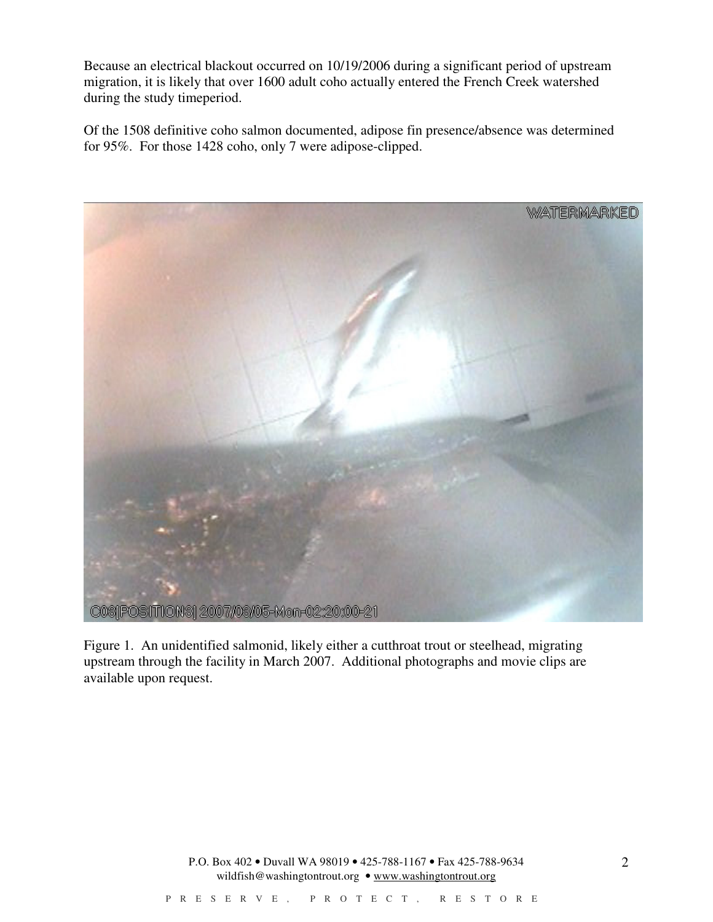Because an electrical blackout occurred on 10/19/2006 during a significant period of upstream migration, it is likely that over 1600 adult coho actually entered the French Creek watershed during the study timeperiod.

Of the 1508 definitive coho salmon documented, adipose fin presence/absence was determined for 95%. For those 1428 coho, only 7 were adipose-clipped.



Figure 1. An unidentified salmonid, likely either a cutthroat trout or steelhead, migrating upstream through the facility in March 2007. Additional photographs and movie clips are available upon request.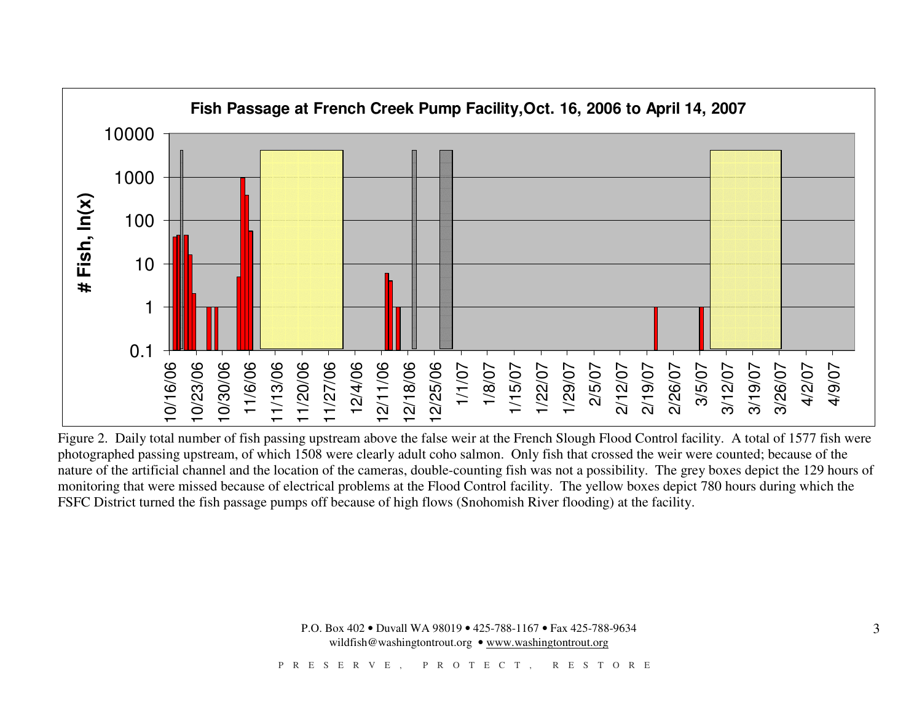

Figure 2. Daily total number of fish passing upstream above the false weir at the French Slough Flood Control facility. A total of 1577 fish were photographed passing upstream, of which 1508 were clearly adult coho salmon. Only fish that crossed the weir were counted; because of the nature of the artificial channel and the location of the cameras, double-counting fish was not a possibility. The grey boxes depict the 129 hours of monitoring that were missed because of electrical problems at the Flood Control facility. The yellow boxes depict 780 hours during which the FSFC District turned the fish passage pumps off because of high flows (Snohomish River flooding) at the facility.